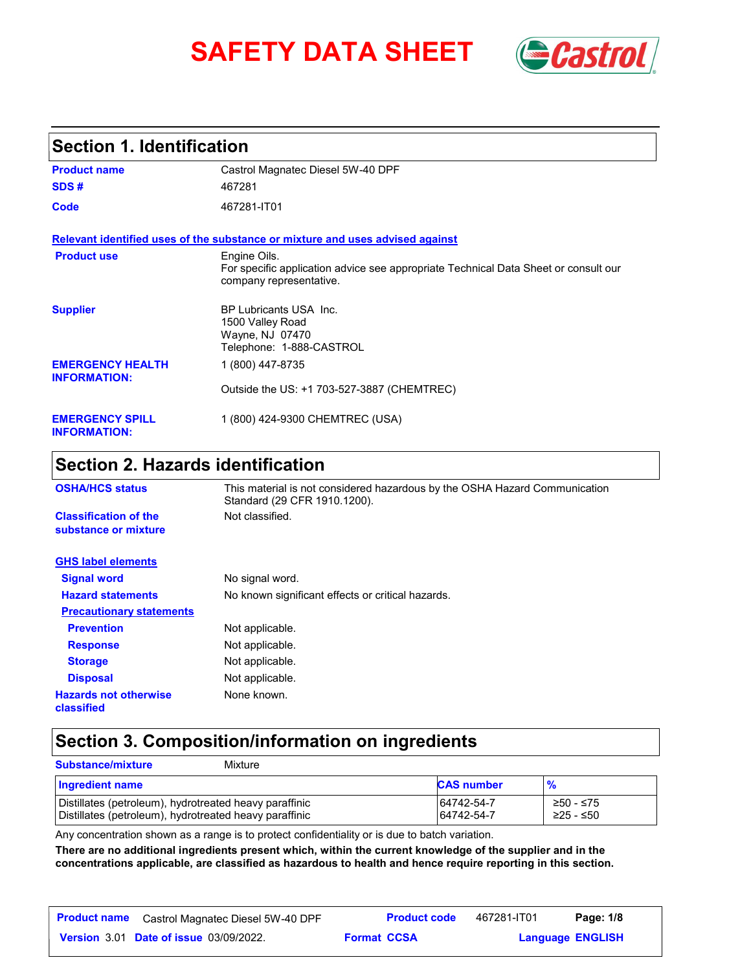# **SAFETY DATA SHEET** *Castrol*



# **Section 1. Identification**

| <b>Product name</b>                            | Castrol Magnatec Diesel 5W-40 DPF                                                                                              |
|------------------------------------------------|--------------------------------------------------------------------------------------------------------------------------------|
| SDS#                                           | 467281                                                                                                                         |
| Code                                           | 467281-IT01                                                                                                                    |
|                                                | Relevant identified uses of the substance or mixture and uses advised against                                                  |
| <b>Product use</b>                             | Engine Oils.<br>For specific application advice see appropriate Technical Data Sheet or consult our<br>company representative. |
| <b>Supplier</b>                                | <b>BP Lubricants USA Inc.</b><br>1500 Valley Road<br>Wayne, NJ 07470<br>Telephone: 1-888-CASTROL                               |
| <b>EMERGENCY HEALTH</b><br><b>INFORMATION:</b> | 1 (800) 447-8735                                                                                                               |
|                                                | Outside the US: +1 703-527-3887 (CHEMTREC)                                                                                     |
| <b>EMERGENCY SPILL</b><br><b>INFORMATION:</b>  | 1 (800) 424-9300 CHEMTREC (USA)                                                                                                |

# **Section 2. Hazards identification**

| <b>OSHA/HCS status</b>                               | This material is not considered hazardous by the OSHA Hazard Communication<br>Standard (29 CFR 1910.1200). |
|------------------------------------------------------|------------------------------------------------------------------------------------------------------------|
| <b>Classification of the</b><br>substance or mixture | Not classified.                                                                                            |
| <b>GHS label elements</b>                            |                                                                                                            |
| <b>Signal word</b>                                   | No signal word.                                                                                            |
| <b>Hazard statements</b>                             | No known significant effects or critical hazards.                                                          |
| <b>Precautionary statements</b>                      |                                                                                                            |
| <b>Prevention</b>                                    | Not applicable.                                                                                            |
| <b>Response</b>                                      | Not applicable.                                                                                            |
| <b>Storage</b>                                       | Not applicable.                                                                                            |
| <b>Disposal</b>                                      | Not applicable.                                                                                            |
| <b>Hazards not otherwise</b><br>classified           | None known.                                                                                                |

## **Section 3. Composition/information on ingredients**

| <b>Substance/mixture</b>                                                                                         | Mixture |                          |                        |
|------------------------------------------------------------------------------------------------------------------|---------|--------------------------|------------------------|
| Ingredient name                                                                                                  |         | <b>CAS number</b>        | $\frac{9}{6}$          |
| Distillates (petroleum), hydrotreated heavy paraffinic<br>Distillates (petroleum), hydrotreated heavy paraffinic |         | 64742-54-7<br>64742-54-7 | ≥50 - ≤75<br>≥25 - ≤50 |

Any concentration shown as a range is to protect confidentiality or is due to batch variation.

**There are no additional ingredients present which, within the current knowledge of the supplier and in the concentrations applicable, are classified as hazardous to health and hence require reporting in this section.**

| <b>Product name</b> | Castrol Magnatec Diesel 5W-40 DPF             |                    | <b>Product code</b> | 467281-IT01 | Page: 1/8               |  |
|---------------------|-----------------------------------------------|--------------------|---------------------|-------------|-------------------------|--|
|                     | <b>Version 3.01 Date of issue 03/09/2022.</b> | <b>Format CCSA</b> |                     |             | <b>Language ENGLISH</b> |  |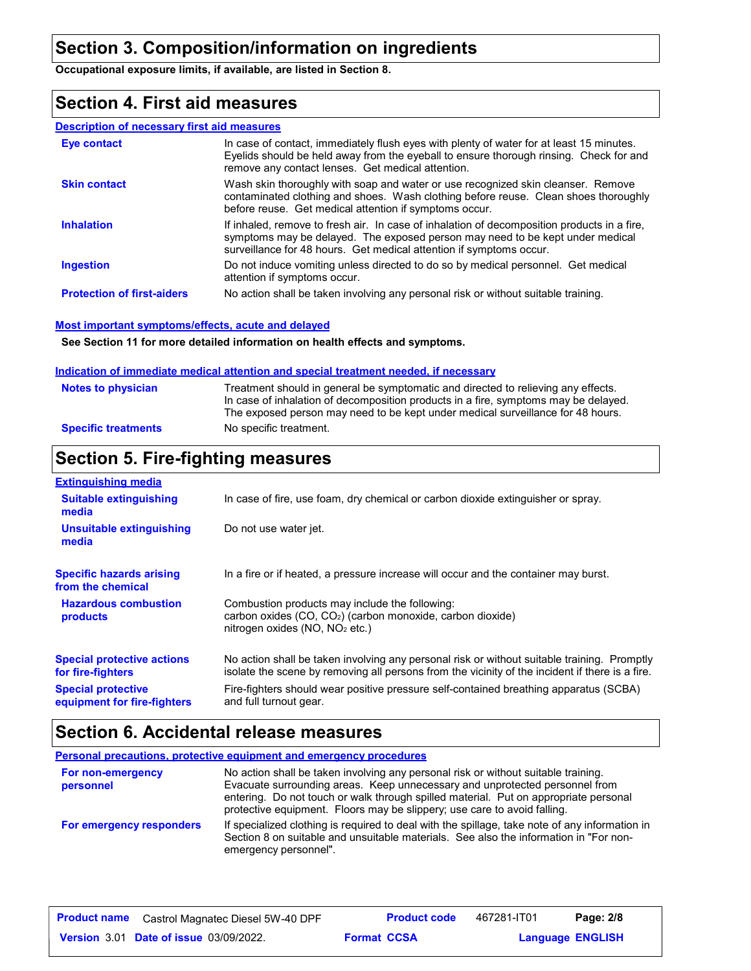# **Section 3. Composition/information on ingredients**

**Occupational exposure limits, if available, are listed in Section 8.**

### **Section 4. First aid measures**

#### **Description of necessary first aid measures**

| Eye contact                       | In case of contact, immediately flush eyes with plenty of water for at least 15 minutes.<br>Eyelids should be held away from the eyeball to ensure thorough rinsing. Check for and<br>remove any contact lenses. Get medical attention.             |
|-----------------------------------|-----------------------------------------------------------------------------------------------------------------------------------------------------------------------------------------------------------------------------------------------------|
| <b>Skin contact</b>               | Wash skin thoroughly with soap and water or use recognized skin cleanser. Remove<br>contaminated clothing and shoes. Wash clothing before reuse. Clean shoes thoroughly<br>before reuse. Get medical attention if symptoms occur.                   |
| <b>Inhalation</b>                 | If inhaled, remove to fresh air. In case of inhalation of decomposition products in a fire,<br>symptoms may be delayed. The exposed person may need to be kept under medical<br>surveillance for 48 hours. Get medical attention if symptoms occur. |
| <b>Ingestion</b>                  | Do not induce vomiting unless directed to do so by medical personnel. Get medical<br>attention if symptoms occur.                                                                                                                                   |
| <b>Protection of first-aiders</b> | No action shall be taken involving any personal risk or without suitable training.                                                                                                                                                                  |

#### **Most important symptoms/effects, acute and delayed**

**See Section 11 for more detailed information on health effects and symptoms.**

#### **Indication of immediate medical attention and special treatment needed, if necessary**

| <b>Notes to physician</b>  | Treatment should in general be symptomatic and directed to relieving any effects.<br>In case of inhalation of decomposition products in a fire, symptoms may be delayed.<br>The exposed person may need to be kept under medical surveillance for 48 hours. |
|----------------------------|-------------------------------------------------------------------------------------------------------------------------------------------------------------------------------------------------------------------------------------------------------------|
| <b>Specific treatments</b> | No specific treatment.                                                                                                                                                                                                                                      |

# **Section 5. Fire-fighting measures**

| <b>Extinguishing media</b>                               |                                                                                                                                                                                                |
|----------------------------------------------------------|------------------------------------------------------------------------------------------------------------------------------------------------------------------------------------------------|
| <b>Suitable extinguishing</b><br>media                   | In case of fire, use foam, dry chemical or carbon dioxide extinguisher or spray.                                                                                                               |
| Unsuitable extinguishing<br>media                        | Do not use water jet.                                                                                                                                                                          |
| <b>Specific hazards arising</b><br>from the chemical     | In a fire or if heated, a pressure increase will occur and the container may burst.                                                                                                            |
| <b>Hazardous combustion</b><br>products                  | Combustion products may include the following:<br>carbon oxides $(CO, CO2)$ (carbon monoxide, carbon dioxide)<br>nitrogen oxides (NO, NO <sub>2</sub> etc.)                                    |
| <b>Special protective actions</b><br>for fire-fighters   | No action shall be taken involving any personal risk or without suitable training. Promptly<br>isolate the scene by removing all persons from the vicinity of the incident if there is a fire. |
| <b>Special protective</b><br>equipment for fire-fighters | Fire-fighters should wear positive pressure self-contained breathing apparatus (SCBA)<br>and full turnout gear.                                                                                |

# **Section 6. Accidental release measures**

| <b>Personal precautions, protective equipment and emergency procedures</b> |                                                                                                                                                                                                                                                                                                                                       |  |  |  |
|----------------------------------------------------------------------------|---------------------------------------------------------------------------------------------------------------------------------------------------------------------------------------------------------------------------------------------------------------------------------------------------------------------------------------|--|--|--|
| For non-emergency<br>personnel                                             | No action shall be taken involving any personal risk or without suitable training.<br>Evacuate surrounding areas. Keep unnecessary and unprotected personnel from<br>entering. Do not touch or walk through spilled material. Put on appropriate personal<br>protective equipment. Floors may be slippery; use care to avoid falling. |  |  |  |
| For emergency responders                                                   | If specialized clothing is required to deal with the spillage, take note of any information in<br>Section 8 on suitable and unsuitable materials. See also the information in "For non-<br>emergency personnel".                                                                                                                      |  |  |  |

| <b>Product name</b> | Castrol Magnatec Diesel 5W-40 DPF             |                    | <b>Product code</b> | 467281-IT01 | Page: 2/8               |  |
|---------------------|-----------------------------------------------|--------------------|---------------------|-------------|-------------------------|--|
|                     | <b>Version 3.01 Date of issue 03/09/2022.</b> | <b>Format CCSA</b> |                     |             | <b>Language ENGLISH</b> |  |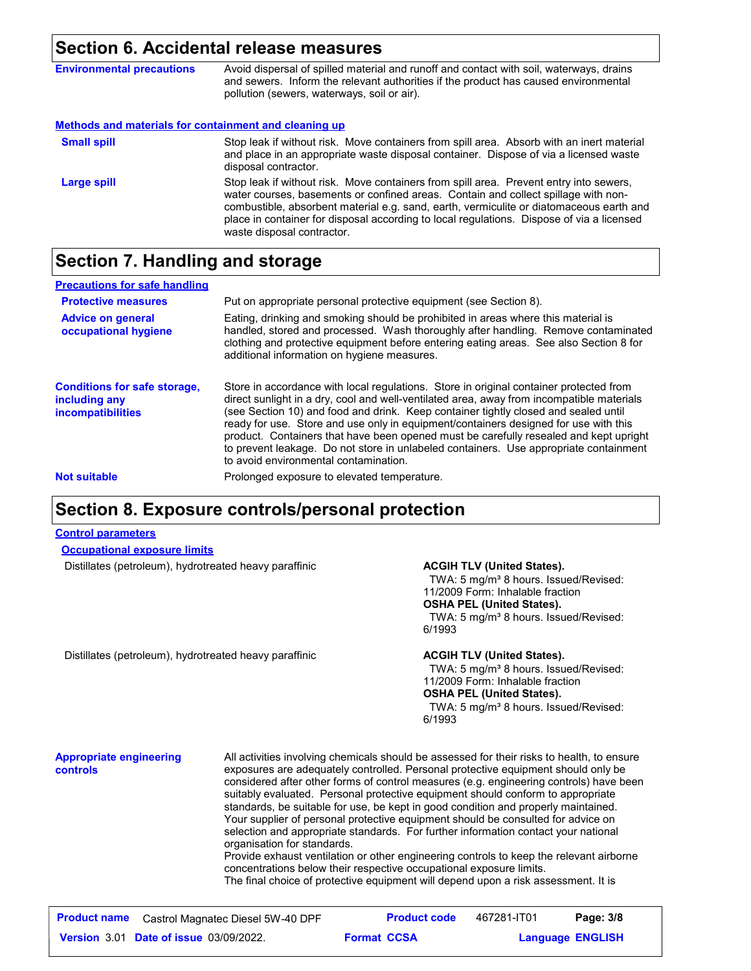#### **Section 6. Accidental release measures**

| <b>Environmental precautions</b>                      | Avoid dispersal of spilled material and runoff and contact with soil, waterways, drains<br>and sewers. Inform the relevant authorities if the product has caused environmental<br>pollution (sewers, waterways, soil or air).                                                                                                                                                                      |
|-------------------------------------------------------|----------------------------------------------------------------------------------------------------------------------------------------------------------------------------------------------------------------------------------------------------------------------------------------------------------------------------------------------------------------------------------------------------|
| Methods and materials for containment and cleaning up |                                                                                                                                                                                                                                                                                                                                                                                                    |
| <b>Small spill</b>                                    | Stop leak if without risk. Move containers from spill area. Absorb with an inert material<br>and place in an appropriate waste disposal container. Dispose of via a licensed waste<br>disposal contractor.                                                                                                                                                                                         |
| <b>Large spill</b>                                    | Stop leak if without risk. Move containers from spill area. Prevent entry into sewers,<br>water courses, basements or confined areas. Contain and collect spillage with non-<br>combustible, absorbent material e.g. sand, earth, vermiculite or diatomaceous earth and<br>place in container for disposal according to local regulations. Dispose of via a licensed<br>waste disposal contractor. |

## **Section 7. Handling and storage**

| <b>Precautions for safe handling</b>                                             |                                                                                                                                                                                                                                                                                                                                                                                                                                                                                                                                                                                               |
|----------------------------------------------------------------------------------|-----------------------------------------------------------------------------------------------------------------------------------------------------------------------------------------------------------------------------------------------------------------------------------------------------------------------------------------------------------------------------------------------------------------------------------------------------------------------------------------------------------------------------------------------------------------------------------------------|
| <b>Protective measures</b>                                                       | Put on appropriate personal protective equipment (see Section 8).                                                                                                                                                                                                                                                                                                                                                                                                                                                                                                                             |
| <b>Advice on general</b><br>occupational hygiene                                 | Eating, drinking and smoking should be prohibited in areas where this material is<br>handled, stored and processed. Wash thoroughly after handling. Remove contaminated<br>clothing and protective equipment before entering eating areas. See also Section 8 for<br>additional information on hygiene measures.                                                                                                                                                                                                                                                                              |
| <b>Conditions for safe storage,</b><br>including any<br><i>incompatibilities</i> | Store in accordance with local regulations. Store in original container protected from<br>direct sunlight in a dry, cool and well-ventilated area, away from incompatible materials<br>(see Section 10) and food and drink. Keep container tightly closed and sealed until<br>ready for use. Store and use only in equipment/containers designed for use with this<br>product. Containers that have been opened must be carefully resealed and kept upright<br>to prevent leakage. Do not store in unlabeled containers. Use appropriate containment<br>to avoid environmental contamination. |
| <b>Not suitable</b>                                                              | Prolonged exposure to elevated temperature.                                                                                                                                                                                                                                                                                                                                                                                                                                                                                                                                                   |
|                                                                                  |                                                                                                                                                                                                                                                                                                                                                                                                                                                                                                                                                                                               |

#### **Section 8. Exposure controls/personal protection**

#### **Control parameters**

#### **Occupational exposure limits**

Distillates (petroleum), hydrotreated heavy paraffinic **ACGIH TLV (United States).**

TWA: 5 mg/m<sup>3</sup> 8 hours. Issued/Revised: 11/2009 Form: Inhalable fraction **OSHA PEL (United States).** TWA: 5 mg/m<sup>3</sup> 8 hours. Issued/Revised: 6/1993

Distillates (petroleum), hydrotreated heavy paraffinic **ACGIH TLV (United States).**

TWA: 5 mg/m<sup>3</sup> 8 hours. Issued/Revised: 11/2009 Form: Inhalable fraction **OSHA PEL (United States).** TWA: 5 mg/m<sup>3</sup> 8 hours. Issued/Revised: 6/1993

#### **Appropriate engineering controls**

All activities involving chemicals should be assessed for their risks to health, to ensure exposures are adequately controlled. Personal protective equipment should only be considered after other forms of control measures (e.g. engineering controls) have been suitably evaluated. Personal protective equipment should conform to appropriate standards, be suitable for use, be kept in good condition and properly maintained. Your supplier of personal protective equipment should be consulted for advice on selection and appropriate standards. For further information contact your national organisation for standards. Provide exhaust ventilation or other engineering controls to keep the relevant airborne concentrations below their respective occupational exposure limits.

The final choice of protective equipment will depend upon a risk assessment. It is

| <b>Product name</b> Castrol Magnatec Diesel 5W-40 DPF |                    | <b>Product code</b> | 467281-IT01 | Page: 3/8               |
|-------------------------------------------------------|--------------------|---------------------|-------------|-------------------------|
| <b>Version 3.01 Date of issue 03/09/2022.</b>         | <b>Format CCSA</b> |                     |             | <b>Language ENGLISH</b> |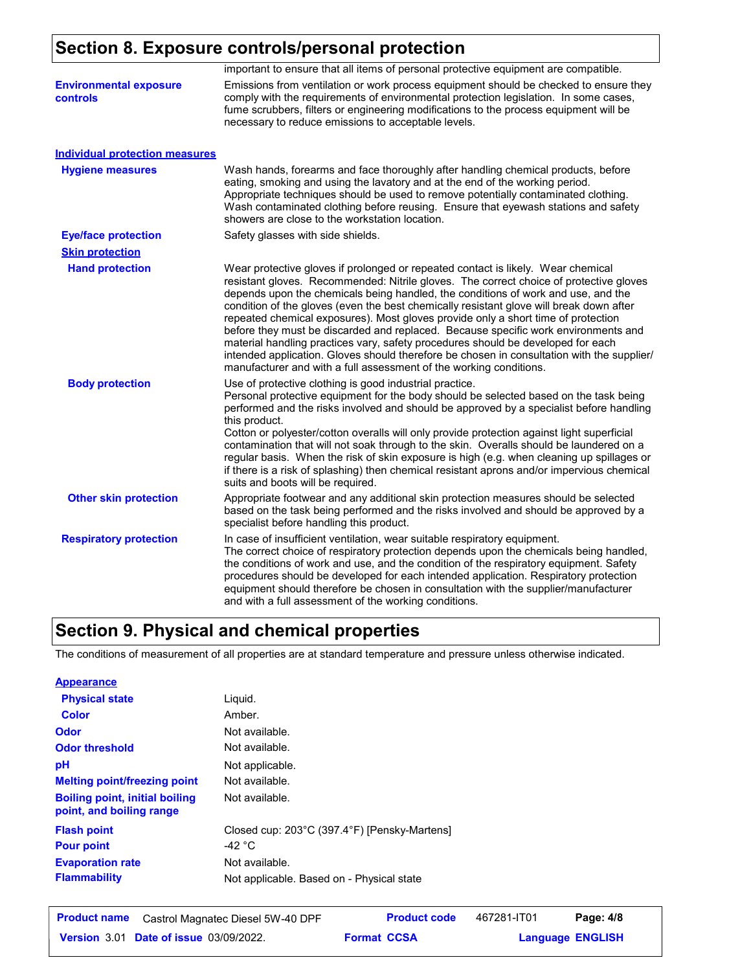# **Section 8. Exposure controls/personal protection**

|                                                  | important to ensure that all items of personal protective equipment are compatible.                                                                                                                                                                                                                                                                                                                                                                                                                                                                                                                                                                                                                                                                                                           |
|--------------------------------------------------|-----------------------------------------------------------------------------------------------------------------------------------------------------------------------------------------------------------------------------------------------------------------------------------------------------------------------------------------------------------------------------------------------------------------------------------------------------------------------------------------------------------------------------------------------------------------------------------------------------------------------------------------------------------------------------------------------------------------------------------------------------------------------------------------------|
| <b>Environmental exposure</b><br><b>controls</b> | Emissions from ventilation or work process equipment should be checked to ensure they<br>comply with the requirements of environmental protection legislation. In some cases,<br>fume scrubbers, filters or engineering modifications to the process equipment will be<br>necessary to reduce emissions to acceptable levels.                                                                                                                                                                                                                                                                                                                                                                                                                                                                 |
| <b>Individual protection measures</b>            |                                                                                                                                                                                                                                                                                                                                                                                                                                                                                                                                                                                                                                                                                                                                                                                               |
| <b>Hygiene measures</b>                          | Wash hands, forearms and face thoroughly after handling chemical products, before<br>eating, smoking and using the lavatory and at the end of the working period.<br>Appropriate techniques should be used to remove potentially contaminated clothing.<br>Wash contaminated clothing before reusing. Ensure that eyewash stations and safety<br>showers are close to the workstation location.                                                                                                                                                                                                                                                                                                                                                                                               |
| <b>Eye/face protection</b>                       | Safety glasses with side shields.                                                                                                                                                                                                                                                                                                                                                                                                                                                                                                                                                                                                                                                                                                                                                             |
| <b>Skin protection</b>                           |                                                                                                                                                                                                                                                                                                                                                                                                                                                                                                                                                                                                                                                                                                                                                                                               |
| <b>Hand protection</b>                           | Wear protective gloves if prolonged or repeated contact is likely. Wear chemical<br>resistant gloves. Recommended: Nitrile gloves. The correct choice of protective gloves<br>depends upon the chemicals being handled, the conditions of work and use, and the<br>condition of the gloves (even the best chemically resistant glove will break down after<br>repeated chemical exposures). Most gloves provide only a short time of protection<br>before they must be discarded and replaced. Because specific work environments and<br>material handling practices vary, safety procedures should be developed for each<br>intended application. Gloves should therefore be chosen in consultation with the supplier/<br>manufacturer and with a full assessment of the working conditions. |
| <b>Body protection</b>                           | Use of protective clothing is good industrial practice.<br>Personal protective equipment for the body should be selected based on the task being<br>performed and the risks involved and should be approved by a specialist before handling<br>this product.<br>Cotton or polyester/cotton overalls will only provide protection against light superficial<br>contamination that will not soak through to the skin. Overalls should be laundered on a<br>regular basis. When the risk of skin exposure is high (e.g. when cleaning up spillages or<br>if there is a risk of splashing) then chemical resistant aprons and/or impervious chemical<br>suits and boots will be required.                                                                                                         |
| <b>Other skin protection</b>                     | Appropriate footwear and any additional skin protection measures should be selected<br>based on the task being performed and the risks involved and should be approved by a<br>specialist before handling this product.                                                                                                                                                                                                                                                                                                                                                                                                                                                                                                                                                                       |
| <b>Respiratory protection</b>                    | In case of insufficient ventilation, wear suitable respiratory equipment.<br>The correct choice of respiratory protection depends upon the chemicals being handled,<br>the conditions of work and use, and the condition of the respiratory equipment. Safety<br>procedures should be developed for each intended application. Respiratory protection<br>equipment should therefore be chosen in consultation with the supplier/manufacturer<br>and with a full assessment of the working conditions.                                                                                                                                                                                                                                                                                         |

# **Section 9. Physical and chemical properties**

The conditions of measurement of all properties are at standard temperature and pressure unless otherwise indicated.

| <b>Appearance</b>                                                 |                                              |
|-------------------------------------------------------------------|----------------------------------------------|
| <b>Physical state</b>                                             | Liquid.                                      |
| <b>Color</b>                                                      | Amber.                                       |
| Odor                                                              | Not available.                               |
| <b>Odor threshold</b>                                             | Not available.                               |
| рH                                                                | Not applicable.                              |
| <b>Melting point/freezing point</b>                               | Not available.                               |
| <b>Boiling point, initial boiling</b><br>point, and boiling range | Not available.                               |
| <b>Flash point</b>                                                | Closed cup: 203°C (397.4°F) [Pensky-Martens] |
| <b>Pour point</b>                                                 | -42 $^{\circ}$ C                             |
| <b>Evaporation rate</b>                                           | Not available.                               |
| <b>Flammability</b>                                               | Not applicable. Based on - Physical state    |

| <b>Product name</b> | Castrol Magnatec Diesel 5W-40 DPF             |                    | <b>Product code</b> | 467281-IT01 | Page: 4/8               |  |
|---------------------|-----------------------------------------------|--------------------|---------------------|-------------|-------------------------|--|
|                     | <b>Version 3.01 Date of issue 03/09/2022.</b> | <b>Format CCSA</b> |                     |             | <b>Language ENGLISH</b> |  |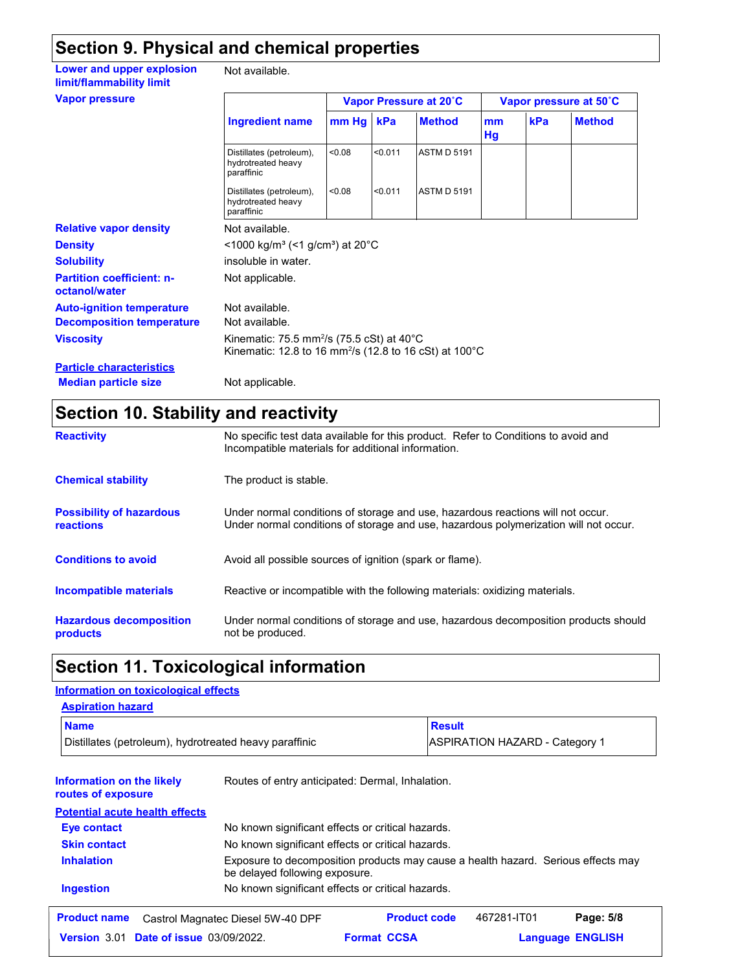# **Section 9. Physical and chemical properties**

| Lower and upper explosion<br>limit/flammability limit | Not available.                                                                                                                          |        |                        |                    |          |                        |               |
|-------------------------------------------------------|-----------------------------------------------------------------------------------------------------------------------------------------|--------|------------------------|--------------------|----------|------------------------|---------------|
| <b>Vapor pressure</b>                                 |                                                                                                                                         |        | Vapor Pressure at 20°C |                    |          | Vapor pressure at 50°C |               |
|                                                       | <b>Ingredient name</b>                                                                                                                  | mm Hg  | kPa                    | <b>Method</b>      | mm<br>Hg | kPa                    | <b>Method</b> |
|                                                       | Distillates (petroleum),<br>hydrotreated heavy<br>paraffinic                                                                            | < 0.08 | < 0.011                | <b>ASTM D 5191</b> |          |                        |               |
|                                                       | Distillates (petroleum),<br>hydrotreated heavy<br>paraffinic                                                                            | < 0.08 | < 0.011                | <b>ASTM D 5191</b> |          |                        |               |
| <b>Relative vapor density</b>                         | Not available.                                                                                                                          |        |                        |                    |          |                        |               |
| <b>Density</b>                                        | $\leq$ 1000 kg/m <sup>3</sup> (<1 g/cm <sup>3</sup> ) at 20°C                                                                           |        |                        |                    |          |                        |               |
| <b>Solubility</b>                                     | insoluble in water.                                                                                                                     |        |                        |                    |          |                        |               |
| <b>Partition coefficient: n-</b><br>octanol/water     | Not applicable.                                                                                                                         |        |                        |                    |          |                        |               |
| <b>Auto-ignition temperature</b>                      | Not available.                                                                                                                          |        |                        |                    |          |                        |               |
| <b>Decomposition temperature</b>                      | Not available.                                                                                                                          |        |                        |                    |          |                        |               |
| <b>Viscosity</b>                                      | Kinematic: 75.5 mm <sup>2</sup> /s (75.5 cSt) at 40 $^{\circ}$ C<br>Kinematic: 12.8 to 16 mm <sup>2</sup> /s (12.8 to 16 cSt) at 100 °C |        |                        |                    |          |                        |               |
| <b>Particle characteristics</b>                       |                                                                                                                                         |        |                        |                    |          |                        |               |
| <b>Median particle size</b>                           | Not applicable.                                                                                                                         |        |                        |                    |          |                        |               |

## **Section 10. Stability and reactivity**

| <b>Reactivity</b>                            | No specific test data available for this product. Refer to Conditions to avoid and<br>Incompatible materials for additional information.                                |
|----------------------------------------------|-------------------------------------------------------------------------------------------------------------------------------------------------------------------------|
| <b>Chemical stability</b>                    | The product is stable.                                                                                                                                                  |
| <b>Possibility of hazardous</b><br>reactions | Under normal conditions of storage and use, hazardous reactions will not occur.<br>Under normal conditions of storage and use, hazardous polymerization will not occur. |
| <b>Conditions to avoid</b>                   | Avoid all possible sources of ignition (spark or flame).                                                                                                                |
| Incompatible materials                       | Reactive or incompatible with the following materials: oxidizing materials.                                                                                             |
| <b>Hazardous decomposition</b><br>products   | Under normal conditions of storage and use, hazardous decomposition products should<br>not be produced.                                                                 |

# **Section 11. Toxicological information**

#### **Information on the likely routes of exposure Ingestion** No known significant effects or critical hazards. **Skin contact** No known significant effects or critical hazards. **Eye contact** No known significant effects or critical hazards. **Aspiration hazard Name Result** Distillates (petroleum), hydrotreated heavy paraffinic **ASPIRATION HAZARD** - Category 1 Routes of entry anticipated: Dermal, Inhalation. **Potential acute health effects Information on toxicological effects Inhalation** Exposure to decomposition products may cause a health hazard. Serious effects may be delayed following exposure. **Product name** Castrol Magnatec Diesel 5W-40 DPF **Product code** 467281-IT01 **Page: 5/8** | 467281-IT01

**Date of issue** 03/09/2022. **Promat CCSA Language ENGLIS** 

**Format CCSA** 

**Language ENGLISH**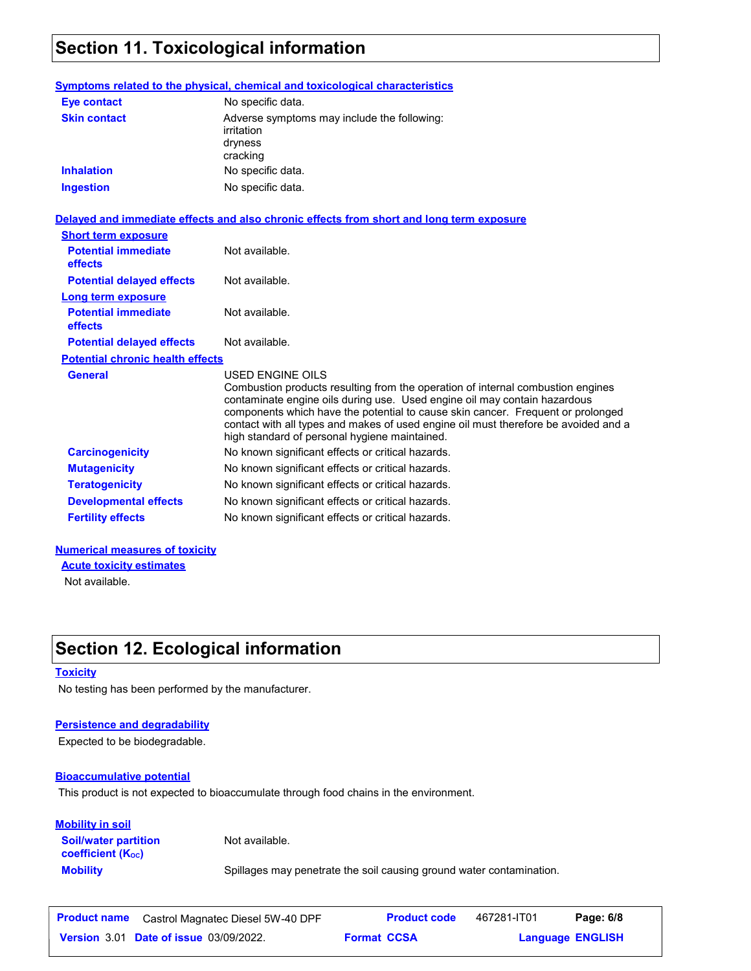# **Section 11. Toxicological information**

|                                         | <b>Symptoms related to the physical, chemical and toxicological characteristics</b>                                                                                                                                                                                                                                                                                                                                |
|-----------------------------------------|--------------------------------------------------------------------------------------------------------------------------------------------------------------------------------------------------------------------------------------------------------------------------------------------------------------------------------------------------------------------------------------------------------------------|
| <b>Eye contact</b>                      | No specific data.                                                                                                                                                                                                                                                                                                                                                                                                  |
| <b>Skin contact</b>                     | Adverse symptoms may include the following:<br>irritation<br>dryness<br>cracking                                                                                                                                                                                                                                                                                                                                   |
| <b>Inhalation</b>                       | No specific data.                                                                                                                                                                                                                                                                                                                                                                                                  |
| <b>Ingestion</b>                        | No specific data.                                                                                                                                                                                                                                                                                                                                                                                                  |
|                                         | Delayed and immediate effects and also chronic effects from short and long term exposure                                                                                                                                                                                                                                                                                                                           |
| <b>Short term exposure</b>              |                                                                                                                                                                                                                                                                                                                                                                                                                    |
| <b>Potential immediate</b><br>effects   | Not available.                                                                                                                                                                                                                                                                                                                                                                                                     |
| <b>Potential delayed effects</b>        | Not available.                                                                                                                                                                                                                                                                                                                                                                                                     |
| <b>Long term exposure</b>               |                                                                                                                                                                                                                                                                                                                                                                                                                    |
| <b>Potential immediate</b><br>effects   | Not available.                                                                                                                                                                                                                                                                                                                                                                                                     |
| <b>Potential delayed effects</b>        | Not available.                                                                                                                                                                                                                                                                                                                                                                                                     |
| <b>Potential chronic health effects</b> |                                                                                                                                                                                                                                                                                                                                                                                                                    |
| <b>General</b>                          | <b>USED ENGINE OILS</b><br>Combustion products resulting from the operation of internal combustion engines<br>contaminate engine oils during use. Used engine oil may contain hazardous<br>components which have the potential to cause skin cancer. Frequent or prolonged<br>contact with all types and makes of used engine oil must therefore be avoided and a<br>high standard of personal hygiene maintained. |
| <b>Carcinogenicity</b>                  | No known significant effects or critical hazards.                                                                                                                                                                                                                                                                                                                                                                  |
| <b>Mutagenicity</b>                     | No known significant effects or critical hazards.                                                                                                                                                                                                                                                                                                                                                                  |
| <b>Teratogenicity</b>                   | No known significant effects or critical hazards.                                                                                                                                                                                                                                                                                                                                                                  |
| <b>Developmental effects</b>            | No known significant effects or critical hazards.                                                                                                                                                                                                                                                                                                                                                                  |
| <b>Fertility effects</b>                | No known significant effects or critical hazards.                                                                                                                                                                                                                                                                                                                                                                  |

#### **Numerical measures of toxicity**

**Acute toxicity estimates**

Not available.

# **Section 12. Ecological information**

#### **Toxicity**

No testing has been performed by the manufacturer.

#### **Persistence and degradability**

Expected to be biodegradable.

#### **Bioaccumulative potential**

This product is not expected to bioaccumulate through food chains in the environment.

#### **Mobility in soil**

Not available.

**Soil/water partition coefficient (KOC)**

**Mobility** Spillages may penetrate the soil causing ground water contamination.

| <b>Product name</b> | Castrol Magnatec Diesel 5W-40 DPF             |                    | <b>Product code</b> | 467281-IT01 | Page: 6/8               |  |
|---------------------|-----------------------------------------------|--------------------|---------------------|-------------|-------------------------|--|
|                     | <b>Version 3.01 Date of issue 03/09/2022.</b> | <b>Format CCSA</b> |                     |             | <b>Language ENGLISH</b> |  |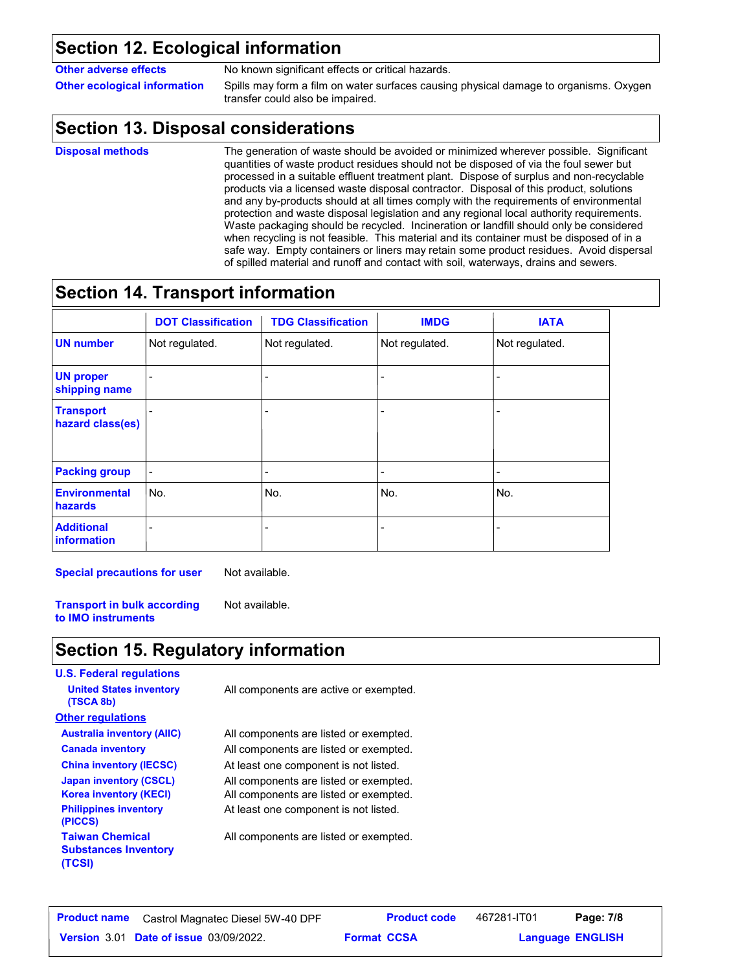## **Section 12. Ecological information**

**Other adverse effects** No known significant effects or critical hazards.

**Other ecological information** Spills may form a film on water surfaces causing physical damage to organisms. Oxygen transfer could also be impaired.

# **Section 13. Disposal considerations**

**Disposal methods**

The generation of waste should be avoided or minimized wherever possible. Significant quantities of waste product residues should not be disposed of via the foul sewer but processed in a suitable effluent treatment plant. Dispose of surplus and non-recyclable products via a licensed waste disposal contractor. Disposal of this product, solutions and any by-products should at all times comply with the requirements of environmental protection and waste disposal legislation and any regional local authority requirements. Waste packaging should be recycled. Incineration or landfill should only be considered when recycling is not feasible. This material and its container must be disposed of in a safe way. Empty containers or liners may retain some product residues. Avoid dispersal of spilled material and runoff and contact with soil, waterways, drains and sewers.

# **Section 14. Transport information**

|                                         | <b>DOT Classification</b> | <b>TDG Classification</b> | <b>IMDG</b>              | <b>IATA</b>    |
|-----------------------------------------|---------------------------|---------------------------|--------------------------|----------------|
| <b>UN number</b>                        | Not regulated.            | Not regulated.            | Not regulated.           | Not regulated. |
| <b>UN proper</b><br>shipping name       |                           |                           |                          |                |
| <b>Transport</b><br>hazard class(es)    |                           |                           |                          |                |
| <b>Packing group</b>                    |                           |                           |                          |                |
| <b>Environmental</b><br>hazards         | No.                       | No.                       | No.                      | No.            |
| <b>Additional</b><br><i>information</i> |                           |                           | $\overline{\phantom{a}}$ |                |

**Special precautions for user** Not available.

**Transport in bulk according to IMO instruments** Not available.

# **Section 15. Regulatory information**

| <b>U.S. Federal regulations</b>                                 |                                        |
|-----------------------------------------------------------------|----------------------------------------|
| <b>United States inventory</b><br>(TSCA 8b)                     | All components are active or exempted. |
| <b>Other regulations</b>                                        |                                        |
| <b>Australia inventory (AIIC)</b>                               | All components are listed or exempted. |
| <b>Canada inventory</b>                                         | All components are listed or exempted. |
| <b>China inventory (IECSC)</b>                                  | At least one component is not listed.  |
| <b>Japan inventory (CSCL)</b>                                   | All components are listed or exempted. |
| <b>Korea inventory (KECI)</b>                                   | All components are listed or exempted. |
| <b>Philippines inventory</b><br>(PICCS)                         | At least one component is not listed.  |
| <b>Taiwan Chemical</b><br><b>Substances Inventory</b><br>(TCSI) | All components are listed or exempted. |

| <b>Product name</b> | Castrol Magnatec Diesel 5W-40 DPF             |                    | <b>Product code</b> | 467281-IT01             | Page: 7/8 |  |
|---------------------|-----------------------------------------------|--------------------|---------------------|-------------------------|-----------|--|
|                     | <b>Version 3.01 Date of issue 03/09/2022.</b> | <b>Format CCSA</b> |                     | <b>Language ENGLISH</b> |           |  |